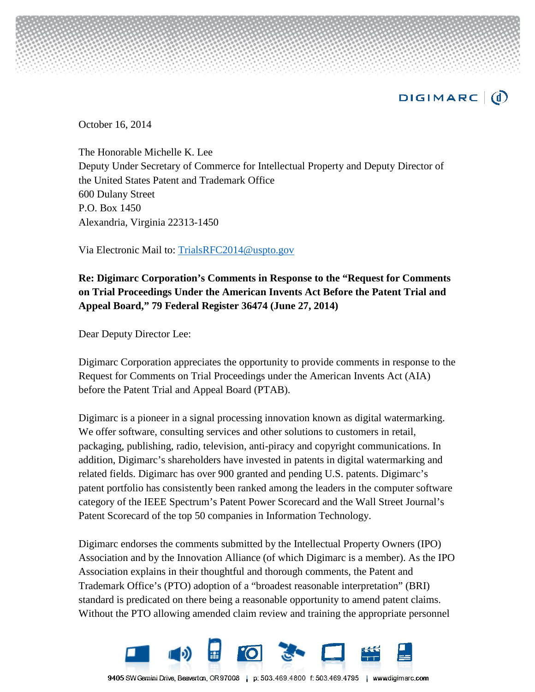

October 16, 2014

The Honorable Michelle K. Lee Deputy Under Secretary of Commerce for Intellectual Property and Deputy Director of the United States Patent and Trademark Office 600 Dulany Street P.O. Box 1450 Alexandria, Virginia 22313-1450

Via Electronic Mail to: TrialsRFC2014@uspto.gov

## **Re: Digimarc Corporation's Comments in Response to the "Request for Comments on Trial Proceedings Under the American Invents Act Before the Patent Trial and Appeal Board," 79 Federal Register 36474 (June 27, 2014)**

Dear Deputy Director Lee:

Digimarc Corporation appreciates the opportunity to provide comments in response to the Request for Comments on Trial Proceedings under the American Invents Act (AIA) before the Patent Trial and Appeal Board (PTAB).

Digimarc is a pioneer in a signal processing innovation known as digital watermarking. We offer software, consulting services and other solutions to customers in retail, packaging, publishing, radio, television, anti-piracy and copyright communications. In addition, Digimarc's shareholders have invested in patents in digital watermarking and related fields. Digimarc has over 900 granted and pending U.S. patents. Digimarc's patent portfolio has consistently been ranked among the leaders in the computer software category of the IEEE Spectrum's Patent Power Scorecard and the Wall Street Journal's Patent Scorecard of the top 50 companies in Information Technology.

Digimarc endorses the comments submitted by the Intellectual Property Owners (IPO) Association and by the Innovation Alliance (of which Digimarc is a member). As the IPO Association explains in their thoughtful and thorough comments, the Patent and Trademark Office's (PTO) adoption of a "broadest reasonable interpretation" (BRI) standard is predicated on there being a reasonable opportunity to amend patent claims. Without the PTO allowing amended claim review and training the appropriate personnel



9405 SW Gemini Drive, Beaverton, OR 97008 | p: 503.469.4800 f: 503.469.4795 | www.digimarc.com